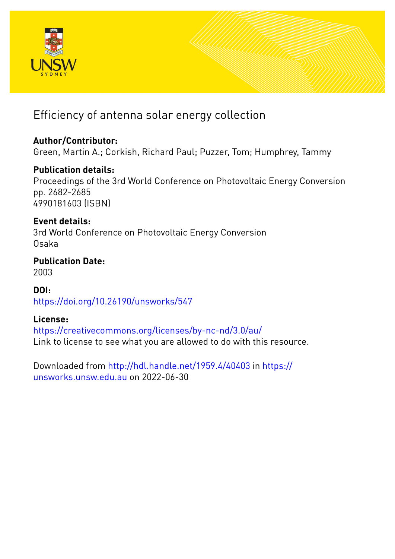

# Efficiency of antenna solar energy collection

### **Author/Contributor:**

Green, Martin A.; Corkish, Richard Paul; Puzzer, Tom; Humphrey, Tammy

### **Publication details:**

Proceedings of the 3rd World Conference on Photovoltaic Energy Conversion pp. 2682-2685 4990181603 (ISBN)

## **Event details:**

3rd World Conference on Photovoltaic Energy Conversion Osaka

### **Publication Date:** 2003

**DOI:** [https://doi.org/10.26190/unsworks/547](http://dx.doi.org/https://doi.org/10.26190/unsworks/547)

### **License:**

<https://creativecommons.org/licenses/by-nc-nd/3.0/au/> Link to license to see what you are allowed to do with this resource.

Downloaded from <http://hdl.handle.net/1959.4/40403> in [https://](https://unsworks.unsw.edu.au) [unsworks.unsw.edu.au](https://unsworks.unsw.edu.au) on 2022-06-30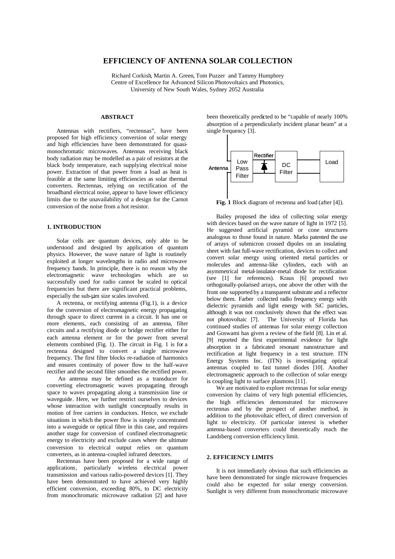#### **EFFICIENCY OF ANTENNA SOLAR COLLECTION**

Richard Corkish, Martin A. Green, Tom Puzzer and Tammy Humphrey Centre of Excellence for Advanced Silicon Photovoltaics and Photonics, University of New South Wales, Sydney 2052 Australia

#### **ABSTRACT**

Antennas with rectifiers, "rectennas", have been proposed for high efficiency conversion of solar energy and high efficiencies have been demonstrated for quasimonochromatic microwaves. Antennas receiving black body radiation may be modelled as a pair of resistors at the black body temperature, each supplying electrical noise power. Extraction of that power from a load as heat is feasible at the same limiting efficiencies as solar thermal converters. Rectennas, relying on rectification of the broadband electrical noise, appear to have lower efficiency limits due to the unavailability of a design for the Carnot conversion of the noise from a hot resistor.

#### **1. INTRODUCTION**

Solar cells are quantum devices, only able to be understood and designed by application of quantum physics. However, the wave nature of light is routinely exploited at longer wavelengths in radio and microwave frequency bands. In principle, there is no reason why the electromagnetic wave technologies which are so successfully used for radio cannot be scaled to optical frequencies but there are significant practical problems, especially the sub-μm size scales involved.

A rectenna, or rectifying antenna (Fig.1), is a device for the conversion of electromagnetic energy propagating through space to direct current in a circuit. It has one or more elements, each consisting of an antenna, filter circuits and a rectifying diode or bridge rectifier either for each antenna element or for the power from several elements combined (Fig. 1). The circuit in Fig. 1 is for a rectenna designed to convert a single microwave frequency. The first filter blocks re-radiation of harmonics and ensures continuity of power flow to the half-wave rectifier and the second filter smoothes the rectified power.

An antenna may be defined as a transducer for converting electromagnetic waves propagating through space to waves propagating along a transmission line or waveguide. Here, we further restrict ourselves to devices whose interaction with sunlight conceptually results in motion of free carriers in conductors. Hence, we exclude situations in which the power flow is simply concentrated into a waveguide or optical fibre in this case, and requires another stage for conversion of confined electromagnetic energy to electricity and exclude cases where the ultimate conversion to electrical output relies on quantum converters, as in antenna-coupled infrared detectors.

Rectennas have been proposed for a wide range of applications, particularly wireless ele ctrical power transmission and various radio-powered devices [1]. They have been demonstrated to have achieved very highly efficient conversion, exceeding 80%, to DC electricity from monochromatic microwave radiation [2] and have

been theoretically predicted to be "capable of nearly 100% absorption of a perpendicularly incident planar beam" at a single frequency [3].



**Fig. 1** Block diagram of rectenna and load (after [4]).

Bailey proposed the idea of collecting solar energy with devices based on the wave nature of light in 1972 [5]. He suggested artificial pyramid or cone structures analogous to those found in nature. Marks patented the use of arrays of submicron crossed dipoles on an insulating sheet with fast full-wave rectification, devices to collect and convert solar energy using oriented metal particles or molecules and antenna-like cylinders, each with an asymmetrical metal-insulator-metal diode for rectification (see [1] for references). Kraus [6] proposed two orthogonally-polarised arrays, one above the other with the front one supported by a transparent substrate and a reflector below them. Farber collected radio frequency energy with dielectric pyramids and light energy with SiC particles, although it was not conclusively shown that the effect was not photovoltaic [7]. The University of Florida has continued studies of antennas for solar energy collection and Goswami has given a review of the field [8]. Lin et al. [9] reported the first experimental evidence for light absorption in a fabricated resonant nanostructure and rectification at light frequency in a test structure. ITN Energy Systems Inc. (ITN) is investigating optical antennas coupled to fast tunnel diodes [10]. Another electromagnetic approach to the collection of solar energy is coupling light to surface plasmons [11].

We are motivated to explore rectennas for solar energy conversion by claims of very high potential efficiencies, the high efficiencies demonstrated for microwave rectennas and by the prospect of another method, in addition to the photovoltaic effect, of direct conversion of light to electricity. Of particular interest is whether antenna-based converters could theoretically reach the Landsberg conversion efficiency limit.

#### **2. EFFICIENCY LIMITS**

It is not immediately obvious that such efficiencies as have been demonstrated for single microwave frequencies could also be expected for solar energy conversion. Sunlight is very different from monochromatic microwave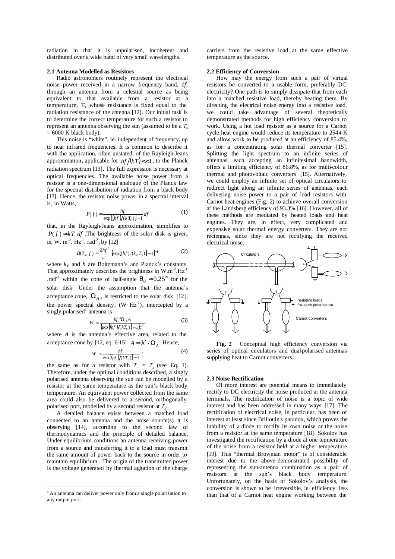radiation in that it is unpolarised, incoherent and distributed over a wide band of very small wavelengths.

#### **2.1 Antenna Modelled as Resistors**

Radio astronomers routinely represent the electrical noise power received in a narrow frequency band, d*f*, through an antenna from a celestial source as being equivalent to that available from a resistor at a temperature, T<sub>r</sub>, whose resistance is fixed equal to the radiation resistance of the antenna [12]. Our initial task is to determine the correct temperature for such a resistor to represent an antenna observing the sun (assumed to be a *T<sup>s</sup>*  $= 6000$  K black body).

This noise is "white", ie. independent of frequency, up to near infrared frequencies. It is common to describe it with the application, often unstated, of the Rayleigh-Jeans approximation, applicable for  $hf/(kT)$  <<1, to the Planck radiation spectrum [13]. The full expression is necessary at optical frequencies. The available noise power from a resistor is a one-dimensional analogue of the Planck law for the spectral distribution of radiation from a black body [13]. Hence, the resistor noise power in a spectral interval is, in Watts,

$$
P(f) = \frac{hf}{\exp\left[ (hf)/(kT_r)\right] - 1} df
$$
 (1)

that, in the Rayleigh-Jeans approximation, simplifies to  $P(f) \approx kT_r df$ . The brightness of the solar disk is given, in, W. m<sup>-2</sup>. Hz<sup>-1</sup>. rad<sup>-2</sup>, by [12]

$$
B(T_s, f) = \frac{2hf^3}{c^2} \{ \exp[(hf)/(k_B T_s)] - 1 \}^{-1}
$$
 (2)

where  $k_B$  and  $h$  are Boltzmann's and Planck's constants. That approximately describes the brightness in  $W.m^{-2}.Hz^{-1}$ .rad<sup>2</sup> within the cone of half-angle  $q_0 \approx 0.25^\circ$  for the solar disk. Under the assumption that the antenna's acceptance cone,  $\Omega_A$ , is restricted to the solar disk [12], the power spectral density,  $(W Hz^{-1})$ , intercepted by a  $singly polarised<sup>1</sup>$  antenna is

$$
W = \frac{hf^3 \Omega_A A}{\{\exp\left[ (hf)/(kT_s)\right] - 1\}c^2}
$$
 (3)

where *A* is the antenna's effective area, related to the acceptance cone by [12, eq. 6-15]  $A = I^2 / \Omega_A$ . Hence,

$$
W = \frac{hf}{\exp[(hf)/(kT_s)] - 1} \tag{4}
$$

the same as for a resistor with  $T_r = T_s$  (see Eq. 1). Therefore, under the optimal conditions described, a singly polarised antenna observing the sun can be modelled by a resistor at the same temperature as the sun's black body temperature. An equivalent power collected from the same area could also be delivered to a second, orthogonally polarised port, modelled by a second resistor at *T<sup>s</sup>* .

A detailed balance exists between a matched load connected to an antenna and the noise source(s) it is observing [14], according to the second law of thermodynamics and the principle of detailed balance. Under equilibrium conditions an antenna receiving power from a source and transferring it to a load must transmit the same amount of power back to the source in order to maintain equilibrium . The origin of the transmitted power is the voltage generated by thermal agitation of the charge

 $\overline{a}$ 

carriers from the resistive load at the same effective temperature as the source.

#### **2.2 Efficiency of Conversion**

How may the energy from such a pair of virtual resistors be converted to a usable form, preferably DC electricity? One path is to simply dissipate that from each into a matched resistive load, thereby heating them. By directing the electrical noise energy into a resistive load, we could take advantage of several theoretically demonstrated methods for high efficiency conversion to work. Using a hot load resistor as a source for a Carnot cycle heat engine would reduce its temperature to 2544 K and allow work to be produced at an efficiency of 85.4%, as for a concentrating solar thermal converter [15]. Splitting the light spectrum to an infinite series of antennas, each accepting an infinitesimal bandwidth, offers a limiting efficiency of 86.8%, as for multi-colour thermal and photovoltaic converters [15]. Alternatively, we could employ an infinite set of optical circulators to redirect light along an infinite series of antennas, each delivering noise power to a pair of load resistors with Carnot heat engines (Fig. 2) to achieve overall conversion at the Landsberg efficiency of 93.3% [16]. However, all of these methods are mediated by heated loads and heat engines. They are, in effect, very complicated and expensive solar thermal energy converters. They are not rectennas, since they are not rectifying the received electrical noise.



**Fig. 2** Conceptual high efficiency conversion via series of optical circulators and dual-polarised antennas supplying heat to Carnot converters.

#### **2.3 Noise Rectification**

Of more interest are potential means to immediately rectify to DC electricity the noise produced at the antenna terminals. The rectification of noise is a topic of wide interest and has been addressed in many ways [17]. The rectification of electrical noise, in particular, has been of interest at least since Brillouin's paradox, which proves the inability of a diode to rectify its own noise or the noise from a resistor at the same temperature [18]. Sokolov has investigated the rectification by a diode at one temperature of the noise from a resistor held at a higher temperature [19]. This "thermal Brownian motor" is of considerable interest due to the above-demonstrated possibility of representing the sun-antenna combination as a pair of resistors at the sun's black body temperature. Unfortunately, on the basis of Sokolov's analysis, the conversion is shown to be irreversible, ie. efficiency less than that of a Carnot heat engine working between the

<sup>&</sup>lt;sup>1</sup> An antenna can deliver power only from a single polarisation to any output port.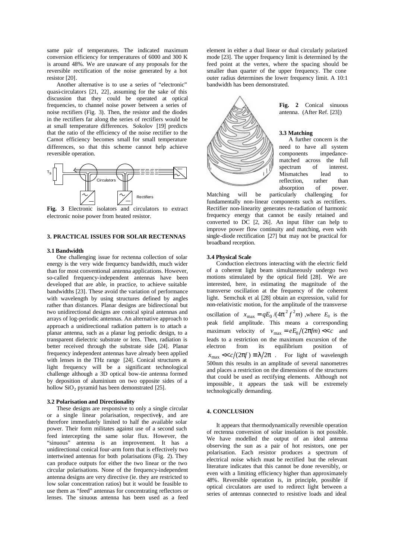same pair of temperatures. The indicated maximum conversion efficiency for temperatures of 6000 and 300 K is around 48%. We are unaware of any proposals for the reversible rectification of the noise generated by a hot resistor [20].

Another alternative is to use a series of "electronic" quasi-circulators [21, 22], assuming for the sake of this discussion that they could be operated at optical frequencies, to channel noise power between a series of noise rectifiers (Fig. 3). Then, the resistor and the diodes in the rectifiers far along the series of rectifiers would be at small temperature differences. Sokolov [19] predicts that the ratio of the efficiency of the noise rectifier to the Carnot efficiency becomes small for small temperature differences, so that this scheme cannot help achieve reversible operation.



**Fig. 3** Electronic isolators and circulators to extract electronic noise power from heated resistor.

#### **3. PRACTICAL ISSUES FOR SOLAR RECTENNAS**

#### **3.1 Bandwidth**

One challenging issue for rectenna collection of solar energy is the very wide frequency bandwidth, much wider than for most conventional antenna applications. However, so-called frequency-independent antennas have been developed that are able, in practice, to achieve suitable bandwidths [23]. These avoid the variation of performance with wavelength by using structures defined by angles rather than distances. Planar designs are bidirectional but two unidirectional designs are conical spiral antennas and arrays of log-periodic antennas. An alternative approach to approach a unidirectional radiation pattern is to attach a planar antenna, such as a planar log periodic design, to a transparent dielectric substrate or lens. Then, radiation is better received through the substrate side [24]. Planar frequency independent antennas have already been applied with lenses in the THz range [24]. Conical structures at light frequency will be a significant technological challenge although a 3D optical bow-tie antenna formed by deposition of aluminium on two opposite sides of a hollow  $SiO<sub>2</sub>$  pyramid has been demonstrated [25].

#### **3.2 Polarisation and Directionality**

These designs are responsive to only a single circular or a single linear polarisation, respectively, and are therefore immediately limited to half the available solar power. Their form militates against use of a second such feed intercepting the same solar flux. However, the "sinuous" antenna is an improvement. It has a unidirectional conical four-arm form that is effectively two intertwined antennas for both polarisations (Fig. 2). They can produce outputs for either the two linear or the two circular polarisations. None of the frequency-independent antenna designs are very directive (ie. they are restricted to low solar concentration ratios) but it would be feasible to use them as "feed" antennas for concentrating reflectors or lenses. The sinuous antenna has been used as a feed

element in either a dual linear or dual circularly polarized mode [23]. The upper frequency limit is determined by the feed point at the vertex, where the spacing should be smaller than quarter of the upper frequency. The cone outer radius determines the lower frequency limit. A 10:1 bandwidth has been demonstrated.



**Fig. 2** Conical sinuous antenna. (After Ref. [23])

#### **3.3 Matching**

A further concern is the need to have all system components impedancematched across the full spectrum of interest. Mismatches lead to reflection, rather than absorption of power.

Matching will be particularly challenging for fundamentally non-linear components such as rectifiers. Rectifier non-linearity generates re-radiation of harmonic frequency energy that cannot be easily retained and converted to DC [2, 26]. An input filter can help to improve power flow continuity and matching, even with single-diode rectification [27] but may not be practical for broadband reception.

#### **3.4 Physical Scale**

Conduction electrons interacting with the electric field of a coherent light beam simultaneously undergo two motions stimulated by the optical field [28]. We are interested, here, in estimating the magnitude of the transverse oscillation at the frequency of the coherent light. Semchuk et al. [28] obtain an expression, valid for non-relativistic motion, for the amplitude of the transverse oscillation of  $x_{\text{max}} = qE_0/(4\mathbf{p}^2 f^2 m)$ , where  $E_0$  is the peak field amplitude. This means a corresponding maximum velocity of  $v_{\text{max}} = eE_0/(2p/m) \ll c$  and leads to a restriction on the maximum excursion of the electron from its equilibrium position of  $x_{\text{max}} \ll c/(2pf) \equiv 1/2p$ . For light of wavelength 500nm this results in an amplitude of several nanometres and places a restriction on the dimensions of the structures that could be used as rectifying elements. Although not impossible , it appears the task will be extremely technologically demanding.

#### **4. CONCLUSION**

It appears that thermodynamically reversible operation of rectenna conversion of solar insolation is not possible. We have modelled the output of an ideal antenna observing the sun as a pair of hot resistors, one per polarisation. Each resistor produces a spectrum of electrical noise which must be rectified but the relevant literature indicates that this cannot be done reversibly, or even with a limiting efficiency higher than approximately 48%. Reversible operation is, in principle, possible if optical circulators are used to redirect light between a series of antennas connected to resistive loads and ideal